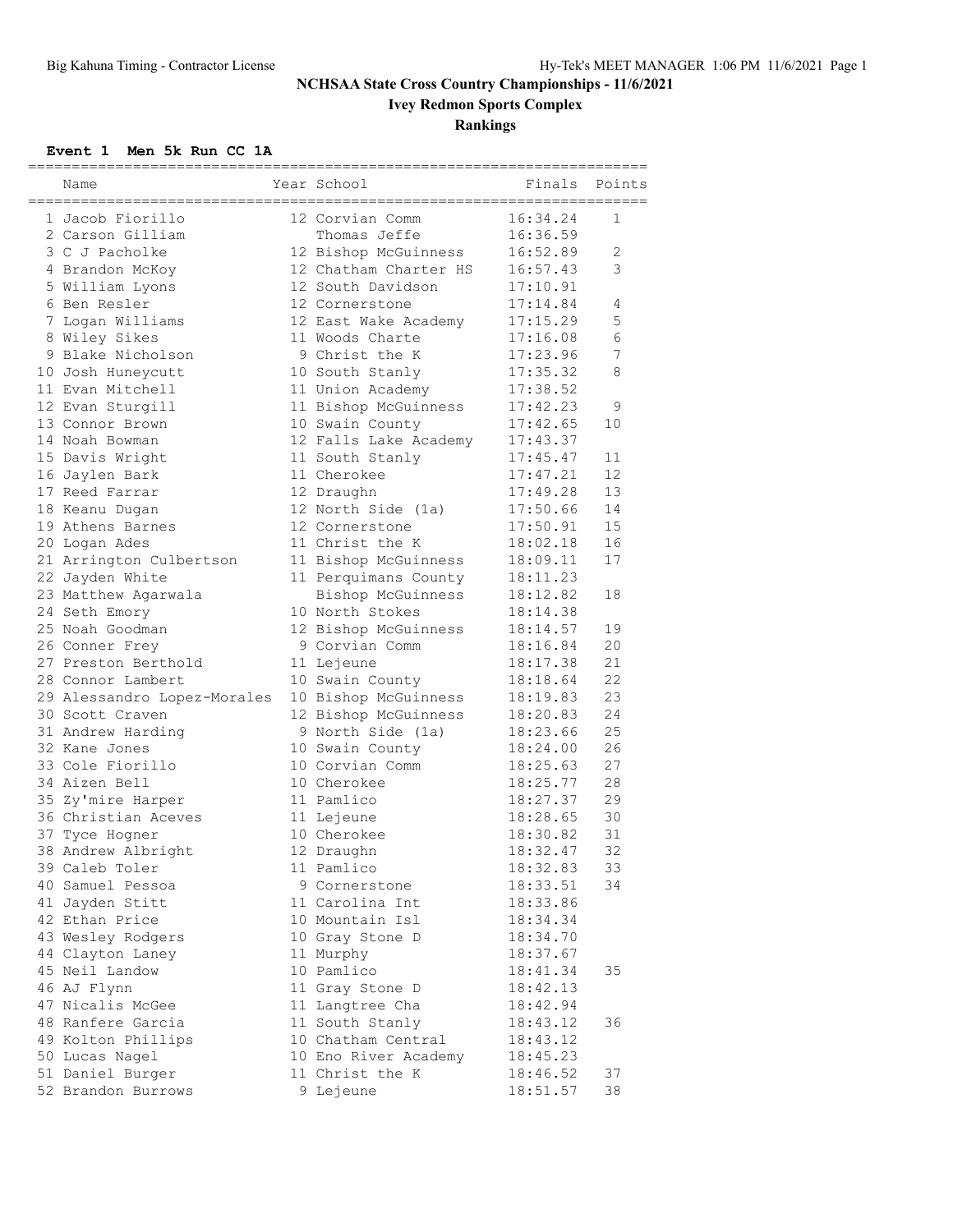**Ivey Redmon Sports Complex**

### **Rankings**

#### **Event 1 Men 5k Run CC 1A**

| Name                                           | Year School                                | =====================<br>Finals | Points     |
|------------------------------------------------|--------------------------------------------|---------------------------------|------------|
| 1 Jacob Fiorillo                               | 12 Corvian Comm                            | 16:34.24                        | 1          |
| 2 Carson Gilliam                               | Thomas Jeffe                               | 16:36.59                        |            |
| 3 C J Pacholke                                 | 12 Bishop McGuinness                       | 16:52.89                        | 2          |
| 4 Brandon McKoy                                | 12 Chatham Charter HS                      | 16:57.43                        | 3          |
| 5 William Lyons                                | 12 South Davidson                          | 17:10.91                        |            |
| 6 Ben Resler                                   | 12 Cornerstone                             | 17:14.84                        | 4          |
| 7 Logan Williams                               | 12 East Wake Academy                       | 17:15.29                        | 5          |
| 8 Wiley Sikes                                  | 11 Woods Charte                            | 17:16.08                        | $\epsilon$ |
| 9 Blake Nicholson                              | 9 Christ the K                             | 17:23.96                        | 7          |
| 10 Josh Huneycutt                              | 10 South Stanly                            | 17:35.32                        | 8          |
| 11 Evan Mitchell                               | 11 Union Academy                           | 17:38.52                        |            |
| 12 Evan Sturgill                               | 11 Bishop McGuinness                       | 17:42.23                        | 9          |
| 13 Connor Brown                                | 10 Swain County                            | 17:42.65                        | 10         |
| 14 Noah Bowman                                 | 12 Falls Lake Academy                      | 17:43.37                        |            |
| 15 Davis Wright                                | 11 South Stanly                            | 17:45.47                        | 11         |
| 16 Jaylen Bark                                 | 11 Cherokee                                | 17:47.21                        | 12         |
| 17 Reed Farrar                                 | 12 Draughn                                 | 17:49.28                        | 13         |
| 18 Keanu Dugan                                 | 12 North Side (1a)                         | 17:50.66                        | 14         |
| 19 Athens Barnes                               | 12 Cornerstone                             | 17:50.91                        | 15         |
| 20 Logan Ades                                  | 11 Christ the K                            | 18:02.18                        | 16         |
| 21 Arrington Culbertson                        | 11 Bishop McGuinness                       | 18:09.11                        | 17         |
| 22 Jayden White                                | 11 Perquimans County                       | 18:11.23                        |            |
| 23 Matthew Agarwala                            | Bishop McGuinness                          | 18:12.82                        | 18         |
| 24 Seth Emory                                  | 10 North Stokes                            | 18:14.38                        |            |
| 25 Noah Goodman                                | 12 Bishop McGuinness                       | 18:14.57                        | 19         |
|                                                | 9 Corvian Comm                             | 18:16.84                        | 20         |
| 26 Conner Frey<br>27 Preston Berthold          |                                            | 18:17.38                        | 21         |
| 28 Connor Lambert                              | 11 Lejeune                                 | 18:18.64                        | 22         |
|                                                | 10 Swain County                            | 18:19.83                        | 23         |
| 29 Alessandro Lopez-Morales<br>30 Scott Craven | 10 Bishop McGuinness                       | 18:20.83                        | 24         |
|                                                | 12 Bishop McGuinness                       |                                 | 25         |
| 31 Andrew Harding<br>32 Kane Jones             | 9 North Side (1a)<br>10 Swain County       | 18:23.66<br>18:24.00            | 26         |
| 33 Cole Fiorillo                               | 10 Corvian Comm                            | 18:25.63                        | 27         |
| 34 Aizen Bell                                  |                                            | 18:25.77                        | 28         |
| 35 Zy'mire Harper                              | 10 Cherokee<br>11 Pamlico                  | 18:27.37                        | 29         |
|                                                |                                            |                                 | 30         |
| 36 Christian Aceves                            | 11 Lejeune<br>10 Cherokee                  | 18:28.65                        | 31         |
| 37 Tyce Hogner                                 | 12 Draughn                                 | 18:30.82                        | 32         |
| 38 Andrew Albright                             |                                            | 18:32.47                        |            |
| 39 Caleb Toler                                 | 11 Pamlico                                 | 18:32.83                        | 33         |
| 40 Samuel Pessoa                               | 9 Cornerstone                              | 18:33.51<br>18:33.86            | 34         |
| 41 Jayden Stitt                                | 11 Carolina Int<br>10 Mountain Isl         | 18:34.34                        |            |
| 42 Ethan Price                                 |                                            |                                 |            |
| 43 Wesley Rodgers                              | 10 Gray Stone D                            | 18:34.70                        |            |
| 44 Clayton Laney                               | 11 Murphy<br>10 Pamlico                    | 18:37.67                        |            |
| 45 Neil Landow                                 |                                            | 18:41.34                        | 35         |
| 46 AJ Flynn                                    | 11 Gray Stone D                            | 18:42.13                        |            |
| 47 Nicalis McGee<br>48 Ranfere Garcia          | 11 Langtree Cha                            | 18:42.94                        |            |
|                                                | 11 South Stanly                            | 18:43.12                        | 36         |
| 49 Kolton Phillips                             | 10 Chatham Central<br>10 Eno River Academy | 18:43.12                        |            |
| 50 Lucas Nagel                                 |                                            | 18:45.23                        |            |
| 51 Daniel Burger                               | 11 Christ the K                            | 18:46.52                        | 37         |
| 52 Brandon Burrows                             | 9 Lejeune                                  | 18:51.57                        | 38         |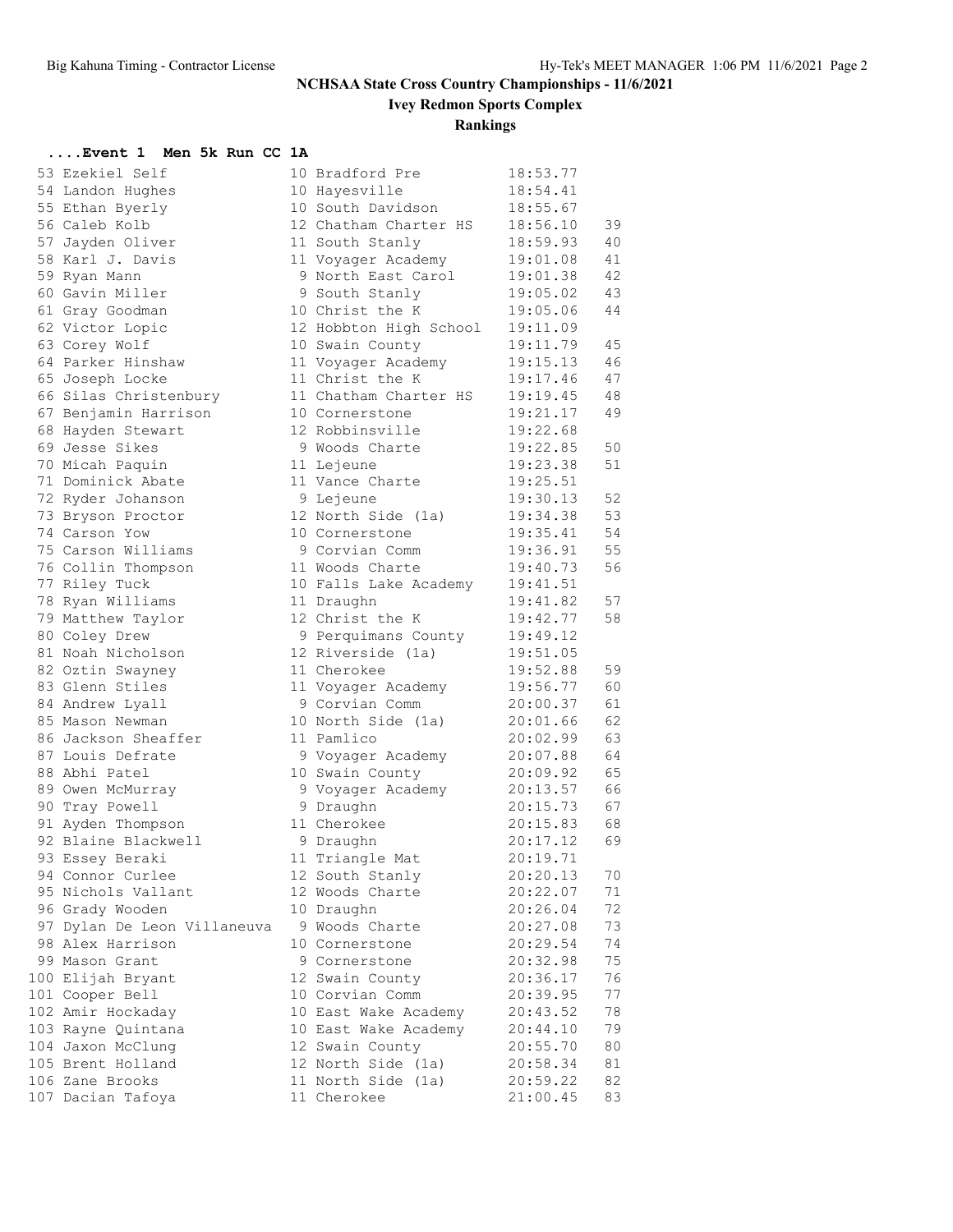**Ivey Redmon Sports Complex**

### **Rankings**

#### **....Event 1 Men 5k Run CC 1A**

| 53 Ezekiel Self                      | 10 Bradford Pre               | 18:53.77             |    |
|--------------------------------------|-------------------------------|----------------------|----|
| 54 Landon Hughes                     | 10 Hayesville                 | 18:54.41             |    |
| 55 Ethan Byerly                      | 10 South Davidson             | 18:55.67             |    |
| 56 Caleb Kolb                        | 12 Chatham Charter HS         | 18:56.10             | 39 |
| 57 Jayden Oliver                     | 11 South Stanly               | 18:59.93             | 40 |
| 58 Karl J. Davis                     | 11 Voyager Academy            | 19:01.08             | 41 |
| 59 Ryan Mann                         | 9 North East Carol            | 19:01.38             | 42 |
| 60 Gavin Miller                      | 9 South Stanly                | 19:05.02             | 43 |
| 61 Gray Goodman                      | 10 Christ the K               | 19:05.06             | 44 |
| 62 Victor Lopic                      | 12 Hobbton High School        | 19:11.09             |    |
| 63 Corey Wolf                        | 10 Swain County               | 19:11.79             | 45 |
| 64 Parker Hinshaw                    | 11 Voyager Academy            | 19:15.13             | 46 |
| 65 Joseph Locke                      | 11 Christ the K               | 19:17.46             | 47 |
| 66 Silas Christenbury                | 11 Chatham Charter HS         | 19:19.45             | 48 |
| 67 Benjamin Harrison                 | 10 Cornerstone                | 19:21.17             | 49 |
| 68 Hayden Stewart                    | 12 Robbinsville               | 19:22.68             |    |
| 69 Jesse Sikes                       | 9 Woods Charte                | 19:22.85             | 50 |
|                                      |                               | 19:23.38             | 51 |
| 70 Micah Paquin<br>71 Dominick Abate | 11 Lejeune<br>11 Vance Charte | 19:25.51             |    |
|                                      |                               |                      |    |
| 72 Ryder Johanson                    | 9 Lejeune                     | 19:30.13             | 52 |
| 73 Bryson Proctor                    | 12 North Side (1a)            | 19:34.38             | 53 |
| 74 Carson Yow                        | 10 Cornerstone                | 19:35.41             | 54 |
| 75 Carson Williams                   | 9 Corvian Comm                | 19:36.91             | 55 |
| 76 Collin Thompson                   | 11 Woods Charte               | 19:40.73             | 56 |
| 77 Riley Tuck                        | 10 Falls Lake Academy         | 19:41.51             |    |
| 78 Ryan Williams                     | 11 Draughn                    | 19:41.82             | 57 |
| 79 Matthew Taylor                    | 12 Christ the K               | 19:42.77             | 58 |
| 80 Coley Drew                        | 9 Perquimans County           | 19:49.12             |    |
| 81 Noah Nicholson                    | 12 Riverside (1a)             | 19:51.05             |    |
| 82 Oztin Swayney                     | 11 Cherokee                   | 19:52.88             | 59 |
| 83 Glenn Stiles                      | 11 Voyager Academy            | 19:56.77             | 60 |
| 84 Andrew Lyall                      | 9 Corvian Comm                | 20:00.37             | 61 |
| 85 Mason Newman                      | 10 North Side (1a)            | 20:01.66             | 62 |
| 86 Jackson Sheaffer                  | 11 Pamlico                    | 20:02.99             | 63 |
| 87 Louis Defrate                     | 9 Voyager Academy             | 20:07.88             | 64 |
| 88 Abhi Patel                        | 10 Swain County               | 20:09.92             | 65 |
| 89 Owen McMurray                     | 9 Voyager Academy             | 20:13.57             | 66 |
| 90 Tray Powell                       | 9 Draughn                     | 20:15.73             | 67 |
| 91 Ayden Thompson                    | 11 Cherokee                   | 20:15.83             | 68 |
| 92 Blaine Blackwell                  | 9 Draughn                     | 20:17.12             | 69 |
| 93 Essey Beraki                      | 11 Triangle Mat               | 20:19.71             |    |
| 94 Connor Curlee                     | 12 South Stanly               | 20:20.13             | 70 |
| 95 Nichols Vallant                   | 12 Woods Charte               | 20:22.07             | 71 |
| 96 Grady Wooden                      | 10 Draughn                    | 20:26.04             | 72 |
| 97 Dylan De Leon Villaneuva          | 9 Woods Charte                | 20:27.08             | 73 |
| 98 Alex Harrison                     | 10 Cornerstone                | 20:29.54             | 74 |
| 99 Mason Grant                       | 9 Cornerstone                 | 20:32.98             | 75 |
| 100 Elijah Bryant                    | 12 Swain County               | 20:36.17             | 76 |
| 101 Cooper Bell                      | 10 Corvian Comm               | 20:39.95             | 77 |
| 102 Amir Hockaday                    | 10 East Wake Academy          |                      | 78 |
|                                      | 10 East Wake Academy          | 20:43.52             | 79 |
| 103 Rayne Quintana                   |                               | 20:44.10<br>20:55.70 |    |
| 104 Jaxon McClung                    | 12 Swain County               |                      | 80 |
| 105 Brent Holland                    | 12 North Side (1a)            | 20:58.34             | 81 |
| 106 Zane Brooks                      | 11 North Side (1a)            | 20:59.22             | 82 |
| 107 Dacian Tafoya                    | 11 Cherokee                   | 21:00.45             | 83 |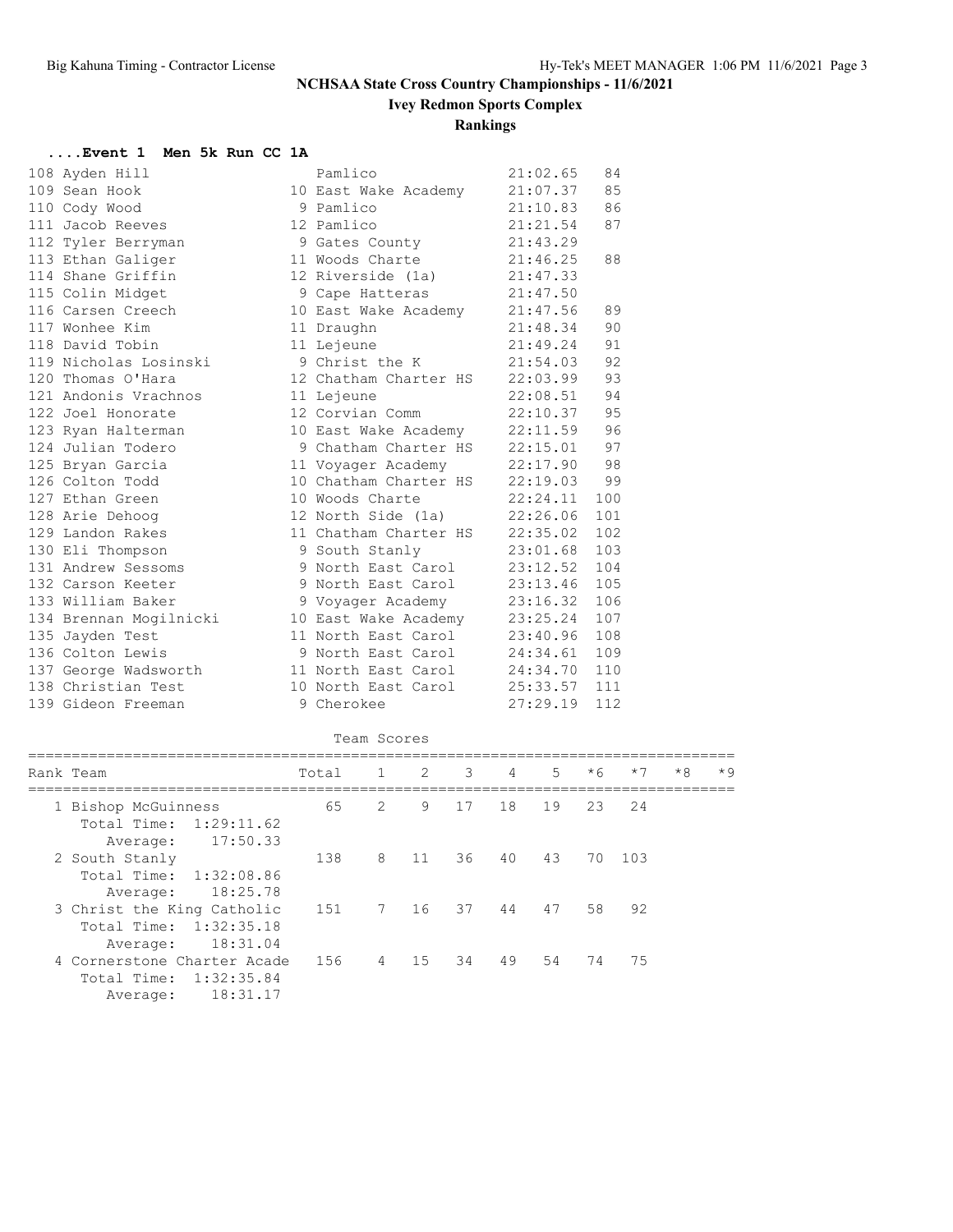**Ivey Redmon Sports Complex**

### **Rankings**

#### **....Event 1 Men 5k Run CC 1A**

| 108 Ayden Hill         | Pamlico | 21:02.65                                                                                                                                                        | 84                                                                                                                                                                                                                                                                                                                                                                                                                                                                                                                                                                                                                                                                                                                                                                                         |
|------------------------|---------|-----------------------------------------------------------------------------------------------------------------------------------------------------------------|--------------------------------------------------------------------------------------------------------------------------------------------------------------------------------------------------------------------------------------------------------------------------------------------------------------------------------------------------------------------------------------------------------------------------------------------------------------------------------------------------------------------------------------------------------------------------------------------------------------------------------------------------------------------------------------------------------------------------------------------------------------------------------------------|
| 109 Sean Hook          |         |                                                                                                                                                                 | 85                                                                                                                                                                                                                                                                                                                                                                                                                                                                                                                                                                                                                                                                                                                                                                                         |
| 110 Cody Wood          |         |                                                                                                                                                                 | 86                                                                                                                                                                                                                                                                                                                                                                                                                                                                                                                                                                                                                                                                                                                                                                                         |
| 111 Jacob Reeves       |         |                                                                                                                                                                 | 87                                                                                                                                                                                                                                                                                                                                                                                                                                                                                                                                                                                                                                                                                                                                                                                         |
| 112 Tyler Berryman     |         | 21:43.29                                                                                                                                                        |                                                                                                                                                                                                                                                                                                                                                                                                                                                                                                                                                                                                                                                                                                                                                                                            |
| 113 Ethan Galiger      |         |                                                                                                                                                                 | 88                                                                                                                                                                                                                                                                                                                                                                                                                                                                                                                                                                                                                                                                                                                                                                                         |
| 114 Shane Griffin      |         |                                                                                                                                                                 |                                                                                                                                                                                                                                                                                                                                                                                                                                                                                                                                                                                                                                                                                                                                                                                            |
| 115 Colin Midget       |         |                                                                                                                                                                 |                                                                                                                                                                                                                                                                                                                                                                                                                                                                                                                                                                                                                                                                                                                                                                                            |
| 116 Carsen Creech      |         |                                                                                                                                                                 | 89                                                                                                                                                                                                                                                                                                                                                                                                                                                                                                                                                                                                                                                                                                                                                                                         |
| 117 Wonhee Kim         |         |                                                                                                                                                                 | 90                                                                                                                                                                                                                                                                                                                                                                                                                                                                                                                                                                                                                                                                                                                                                                                         |
| 118 David Tobin        |         |                                                                                                                                                                 | 91                                                                                                                                                                                                                                                                                                                                                                                                                                                                                                                                                                                                                                                                                                                                                                                         |
| 119 Nicholas Losinski  |         |                                                                                                                                                                 | 92                                                                                                                                                                                                                                                                                                                                                                                                                                                                                                                                                                                                                                                                                                                                                                                         |
| 120 Thomas O'Hara      |         |                                                                                                                                                                 | 93                                                                                                                                                                                                                                                                                                                                                                                                                                                                                                                                                                                                                                                                                                                                                                                         |
| 121 Andonis Vrachnos   |         |                                                                                                                                                                 | 94                                                                                                                                                                                                                                                                                                                                                                                                                                                                                                                                                                                                                                                                                                                                                                                         |
| 122 Joel Honorate      |         |                                                                                                                                                                 | 95                                                                                                                                                                                                                                                                                                                                                                                                                                                                                                                                                                                                                                                                                                                                                                                         |
| 123 Ryan Halterman     |         |                                                                                                                                                                 | 96                                                                                                                                                                                                                                                                                                                                                                                                                                                                                                                                                                                                                                                                                                                                                                                         |
| 124 Julian Todero      |         |                                                                                                                                                                 | 97                                                                                                                                                                                                                                                                                                                                                                                                                                                                                                                                                                                                                                                                                                                                                                                         |
| 125 Bryan Garcia       |         |                                                                                                                                                                 | 98                                                                                                                                                                                                                                                                                                                                                                                                                                                                                                                                                                                                                                                                                                                                                                                         |
| 126 Colton Todd        |         |                                                                                                                                                                 | 99                                                                                                                                                                                                                                                                                                                                                                                                                                                                                                                                                                                                                                                                                                                                                                                         |
| 127 Ethan Green        |         |                                                                                                                                                                 | 100                                                                                                                                                                                                                                                                                                                                                                                                                                                                                                                                                                                                                                                                                                                                                                                        |
| 128 Arie Dehoog        |         |                                                                                                                                                                 | 101                                                                                                                                                                                                                                                                                                                                                                                                                                                                                                                                                                                                                                                                                                                                                                                        |
| 129 Landon Rakes       |         |                                                                                                                                                                 | 102                                                                                                                                                                                                                                                                                                                                                                                                                                                                                                                                                                                                                                                                                                                                                                                        |
| 130 Eli Thompson       |         |                                                                                                                                                                 | 103                                                                                                                                                                                                                                                                                                                                                                                                                                                                                                                                                                                                                                                                                                                                                                                        |
| 131 Andrew Sessoms     |         |                                                                                                                                                                 | 104                                                                                                                                                                                                                                                                                                                                                                                                                                                                                                                                                                                                                                                                                                                                                                                        |
| 132 Carson Keeter      |         |                                                                                                                                                                 | 105                                                                                                                                                                                                                                                                                                                                                                                                                                                                                                                                                                                                                                                                                                                                                                                        |
| 133 William Baker      |         |                                                                                                                                                                 | 106                                                                                                                                                                                                                                                                                                                                                                                                                                                                                                                                                                                                                                                                                                                                                                                        |
| 134 Brennan Mogilnicki |         |                                                                                                                                                                 | 107                                                                                                                                                                                                                                                                                                                                                                                                                                                                                                                                                                                                                                                                                                                                                                                        |
| 135 Jayden Test        |         |                                                                                                                                                                 | 108                                                                                                                                                                                                                                                                                                                                                                                                                                                                                                                                                                                                                                                                                                                                                                                        |
| 136 Colton Lewis       |         |                                                                                                                                                                 | 109                                                                                                                                                                                                                                                                                                                                                                                                                                                                                                                                                                                                                                                                                                                                                                                        |
| 137 George Wadsworth   |         |                                                                                                                                                                 | 110                                                                                                                                                                                                                                                                                                                                                                                                                                                                                                                                                                                                                                                                                                                                                                                        |
| 138 Christian Test     |         |                                                                                                                                                                 | 111                                                                                                                                                                                                                                                                                                                                                                                                                                                                                                                                                                                                                                                                                                                                                                                        |
| 139 Gideon Freeman     |         |                                                                                                                                                                 | 112                                                                                                                                                                                                                                                                                                                                                                                                                                                                                                                                                                                                                                                                                                                                                                                        |
|                        |         | 9 Pamlico<br>12 Pamlico<br>9 Gates County<br>11 Draughn<br>11 Lejeune<br>11 Lejeune<br>10 Woods Charte<br>9 North East Carol<br>9 Voyager Academy<br>9 Cherokee | 21:07.37<br>10 East Wake Academy<br>21:10.83<br>21:21.54<br>11 Woods Charte 21:46.25<br>12 Riverside (1a) 21:47.33<br>9 Cape Hatteras 21:47.50<br>10 East Wake Academy 21:47.56<br>21:48.34<br>21:49.24<br>9 Christ the K 21:54.03<br>12 Chatham Charter HS 22:03.99<br>22:08.51<br>12 Corvian Comm 22:10.37<br>10 East Wake Academy 22:11.59<br>9 Chatham Charter HS 22:15.01<br>11 Voyager Academy 22:17.90<br>10 Chatham Charter HS 22:19.03<br>22:24.11<br>12 North Side (1a) 22:26.06<br>11 Chatham Charter HS 22:35.02<br>9 South Stanly 23:01.68<br>23:12.52<br>9 North East Carol 23:13.46<br>23:16.32<br>10 East Wake Academy 23:25.24<br>11 North East Carol 23:40.96<br>9 North East Carol 24:34.61<br>11 North East Carol 24:34.70<br>10 North East Carol 25:33.57<br>27:29.19 |

#### Team Scores

| Rank Team                                                                       | Total |   | $1 \quad 2 \quad 3$ |      | $\overline{4}$ | $5 -$ | $*6$ | $*7$   | $*8$ | $*9$ |
|---------------------------------------------------------------------------------|-------|---|---------------------|------|----------------|-------|------|--------|------|------|
| 1 Bishop McGuinness<br>Total Time: 1:29:11.62<br>17:50.33<br>Average:           | 65    | 2 |                     | 9 17 | 18             | 19    |      | 23 24  |      |      |
| 2 South Stanly<br>Total Time: 1:32:08.86<br>18:25.78<br>Average:                | 138   | 8 | 11                  | 36   | 40             | 43    |      | 70 103 |      |      |
| 3 Christ the King Catholic<br>Total Time:<br>1:32:35.18<br>18:31.04<br>Average: | 151   |   | 7 16                | 37   | 44             | 47    |      | 58 92  |      |      |
| 4 Cornerstone Charter Acade<br>Total Time: 1:32:35.84                           | 156   | 4 | 15                  | 34   | 49             | 54    | 74   | 75     |      |      |

Average: 18:31.17